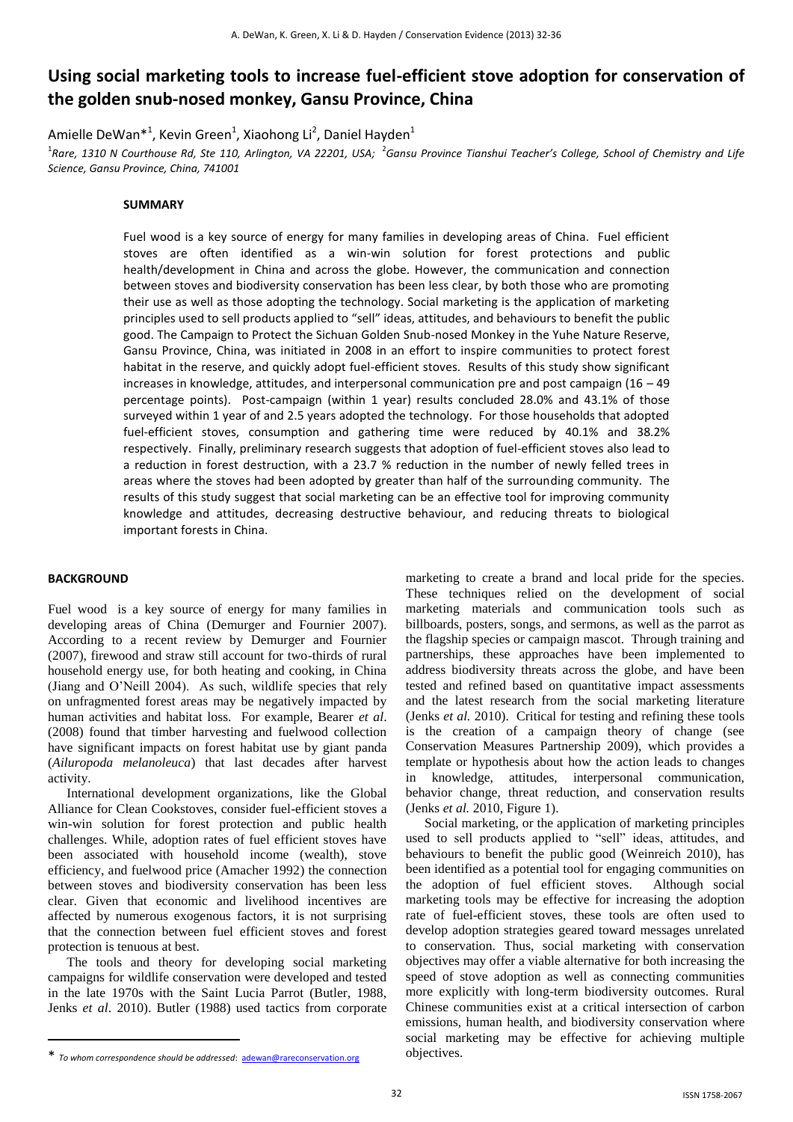# **Using social marketing tools to increase fuel-efficient stove adoption for conservation of the golden snub-nosed monkey, Gansu Province, China**

Amielle DeWan\*<sup>1</sup>, Kevin Green<sup>1</sup>, Xiaohong Li<sup>2</sup>, Daniel Hayden<sup>1</sup>

<sup>1</sup>Rare, 1310 N Courthouse Rd, Ste 110, Arlington, VA 22201, USA; <sup>2</sup>Gansu Province Tianshui Teacher's College, School of Chemistry and Life *Science, Gansu Province, China, 741001*

### **SUMMARY**

Fuel wood is a key source of energy for many families in developing areas of China. Fuel efficient stoves are often identified as a win-win solution for forest protections and public health/development in China and across the globe. However, the communication and connection between stoves and biodiversity conservation has been less clear, by both those who are promoting their use as well as those adopting the technology. Social marketing is the application of marketing principles used to sell products applied to "sell" ideas, attitudes, and behaviours to benefit the public good. The Campaign to Protect the Sichuan Golden Snub-nosed Monkey in the Yuhe Nature Reserve, Gansu Province, China, was initiated in 2008 in an effort to inspire communities to protect forest habitat in the reserve, and quickly adopt fuel-efficient stoves. Results of this study show significant increases in knowledge, attitudes, and interpersonal communication pre and post campaign  $(16 - 49)$ percentage points). Post-campaign (within 1 year) results concluded 28.0% and 43.1% of those surveyed within 1 year of and 2.5 years adopted the technology. For those households that adopted fuel-efficient stoves, consumption and gathering time were reduced by 40.1% and 38.2% respectively. Finally, preliminary research suggests that adoption of fuel-efficient stoves also lead to a reduction in forest destruction, with a 23.7 % reduction in the number of newly felled trees in areas where the stoves had been adopted by greater than half of the surrounding community. The results of this study suggest that social marketing can be an effective tool for improving community knowledge and attitudes, decreasing destructive behaviour, and reducing threats to biological important forests in China.

## **BACKGROUND**

<u>.</u>

Fuel wood is a key source of energy for many families in developing areas of China (Demurger and Fournier 2007). According to a recent review by Demurger and Fournier (2007), firewood and straw still account for two-thirds of rural household energy use, for both heating and cooking, in China (Jiang and O'Neill 2004). As such, wildlife species that rely on unfragmented forest areas may be negatively impacted by human activities and habitat loss. For example, Bearer *et al*. (2008) found that timber harvesting and fuelwood collection have significant impacts on forest habitat use by giant panda (*Ailuropoda melanoleuca*) that last decades after harvest activity.

International development organizations, like the Global Alliance for Clean Cookstoves, consider fuel-efficient stoves a win-win solution for forest protection and public health challenges. While, adoption rates of fuel efficient stoves have been associated with household income (wealth), stove efficiency, and fuelwood price (Amacher 1992) the connection between stoves and biodiversity conservation has been less clear. Given that economic and livelihood incentives are affected by numerous exogenous factors, it is not surprising that the connection between fuel efficient stoves and forest protection is tenuous at best.

The tools and theory for developing social marketing campaigns for wildlife conservation were developed and tested in the late 1970s with the Saint Lucia Parrot (Butler, 1988, Jenks *et al*. 2010). Butler (1988) used tactics from corporate marketing to create a brand and local pride for the species. These techniques relied on the development of social marketing materials and communication tools such as billboards, posters, songs, and sermons, as well as the parrot as the flagship species or campaign mascot. Through training and partnerships, these approaches have been implemented to address biodiversity threats across the globe, and have been tested and refined based on quantitative impact assessments and the latest research from the social marketing literature (Jenks *et al.* 2010). Critical for testing and refining these tools is the creation of a campaign theory of change (see Conservation Measures Partnership 2009), which provides a template or hypothesis about how the action leads to changes in knowledge, attitudes, interpersonal communication, behavior change, threat reduction, and conservation results (Jenks *et al.* 2010, Figure 1).

Social marketing, or the application of marketing principles used to sell products applied to "sell" ideas, attitudes, and behaviours to benefit the public good (Weinreich 2010), has been identified as a potential tool for engaging communities on the adoption of fuel efficient stoves. Although social marketing tools may be effective for increasing the adoption rate of fuel-efficient stoves, these tools are often used to develop adoption strategies geared toward messages unrelated to conservation. Thus, social marketing with conservation objectives may offer a viable alternative for both increasing the speed of stove adoption as well as connecting communities more explicitly with long-term biodiversity outcomes. Rural Chinese communities exist at a critical intersection of carbon emissions, human health, and biodiversity conservation where social marketing may be effective for achieving multiple objectives.

<sup>\*</sup> *To whom correspondence should be addressed*: [adewan@rareconservation.org](mailto:adewan@rareconservation.org)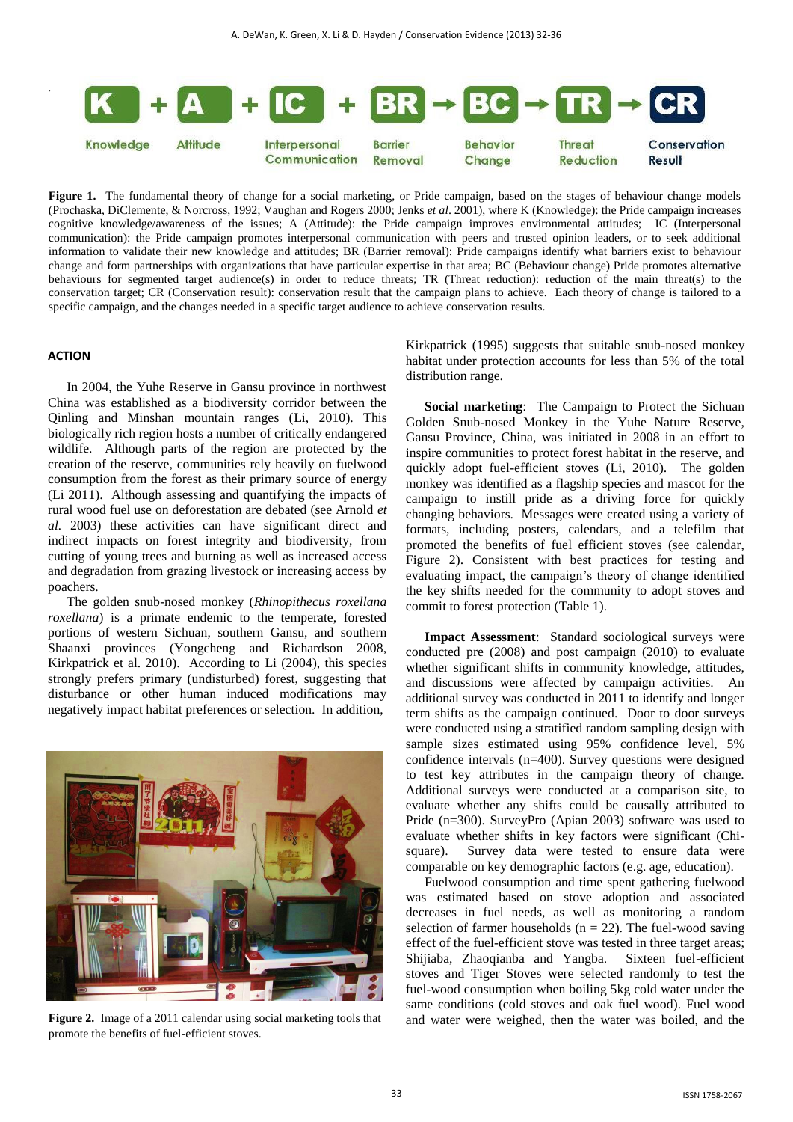

**Figure 1.** The fundamental theory of change for a social marketing, or Pride campaign, based on the stages of behaviour change models (Prochaska, DiClemente, & Norcross, 1992; Vaughan and Rogers 2000; Jenks *et al*. 2001), where K (Knowledge): the Pride campaign increases cognitive knowledge/awareness of the issues; A (Attitude): the Pride campaign improves environmental attitudes; IC (Interpersonal communication): the Pride campaign promotes interpersonal communication with peers and trusted opinion leaders, or to seek additional information to validate their new knowledge and attitudes; BR (Barrier removal): Pride campaigns identify what barriers exist to behaviour change and form partnerships with organizations that have particular expertise in that area; BC (Behaviour change) Pride promotes alternative behaviours for segmented target audience(s) in order to reduce threats; TR (Threat reduction): reduction of the main threat(s) to the conservation target; CR (Conservation result): conservation result that the campaign plans to achieve. Each theory of change is tailored to a specific campaign, and the changes needed in a specific target audience to achieve conservation results.

#### **ACTION**

.

In 2004, the Yuhe Reserve in Gansu province in northwest China was established as a biodiversity corridor between the Qinling and Minshan mountain ranges (Li, 2010). This biologically rich region hosts a number of critically endangered wildlife. Although parts of the region are protected by the creation of the reserve, communities rely heavily on fuelwood consumption from the forest as their primary source of energy (Li 2011). Although assessing and quantifying the impacts of rural wood fuel use on deforestation are debated (see Arnold *et al.* 2003) these activities can have significant direct and indirect impacts on forest integrity and biodiversity, from cutting of young trees and burning as well as increased access and degradation from grazing livestock or increasing access by poachers.

The golden snub-nosed monkey (*Rhinopithecus roxellana roxellana*) is a primate endemic to the temperate, forested portions of western Sichuan, southern Gansu, and southern Shaanxi provinces (Yongcheng and Richardson 2008, Kirkpatrick et al. 2010). According to Li (2004), this species strongly prefers primary (undisturbed) forest, suggesting that disturbance or other human induced modifications may negatively impact habitat preferences or selection. In addition,



**Figure 2.** Image of a 2011 calendar using social marketing tools that promote the benefits of fuel-efficient stoves.

Kirkpatrick (1995) suggests that suitable snub-nosed monkey habitat under protection accounts for less than 5% of the total distribution range.

**Social marketing**: The Campaign to Protect the Sichuan Golden Snub-nosed Monkey in the Yuhe Nature Reserve, Gansu Province, China, was initiated in 2008 in an effort to inspire communities to protect forest habitat in the reserve, and quickly adopt fuel-efficient stoves (Li, 2010). The golden monkey was identified as a flagship species and mascot for the campaign to instill pride as a driving force for quickly changing behaviors. Messages were created using a variety of formats, including posters, calendars, and a telefilm that promoted the benefits of fuel efficient stoves (see calendar, Figure 2). Consistent with best practices for testing and evaluating impact, the campaign's theory of change identified the key shifts needed for the community to adopt stoves and commit to forest protection (Table 1).

**Impact Assessment**: Standard sociological surveys were conducted pre (2008) and post campaign (2010) to evaluate whether significant shifts in community knowledge, attitudes, and discussions were affected by campaign activities. An additional survey was conducted in 2011 to identify and longer term shifts as the campaign continued. Door to door surveys were conducted using a stratified random sampling design with sample sizes estimated using 95% confidence level, 5% confidence intervals (n=400). Survey questions were designed to test key attributes in the campaign theory of change. Additional surveys were conducted at a comparison site, to evaluate whether any shifts could be causally attributed to Pride (n=300). SurveyPro (Apian 2003) software was used to evaluate whether shifts in key factors were significant (Chisquare). Survey data were tested to ensure data were comparable on key demographic factors (e.g. age, education).

Fuelwood consumption and time spent gathering fuelwood was estimated based on stove adoption and associated decreases in fuel needs, as well as monitoring a random selection of farmer households ( $n = 22$ ). The fuel-wood saving effect of the fuel-efficient stove was tested in three target areas; Shijiaba, Zhaoqianba and Yangba. Sixteen fuel-efficient stoves and Tiger Stoves were selected randomly to test the fuel-wood consumption when boiling 5kg cold water under the same conditions (cold stoves and oak fuel wood). Fuel wood and water were weighed, then the water was boiled, and the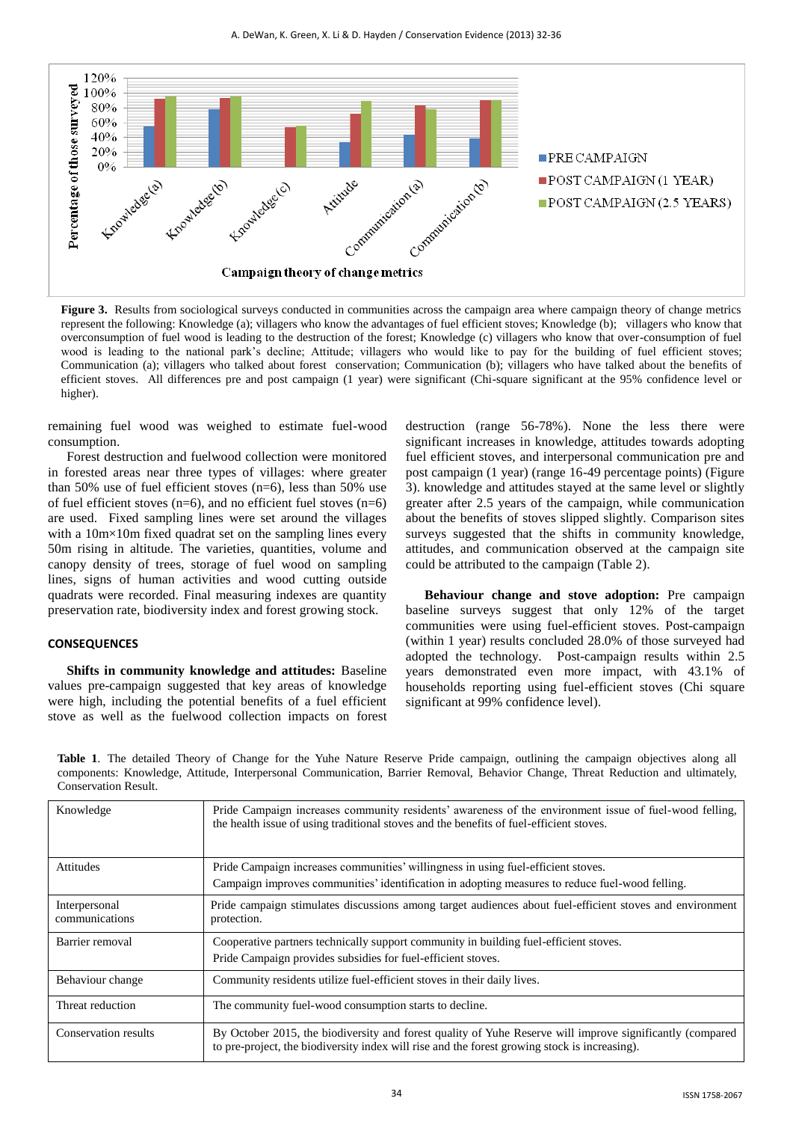

**Figure 3.** Results from sociological surveys conducted in communities across the campaign area where campaign theory of change metrics represent the following: Knowledge (a); villagers who know the advantages of fuel efficient stoves; Knowledge (b); villagers who know that overconsumption of fuel wood is leading to the destruction of the forest; Knowledge (c) villagers who know that over-consumption of fuel wood is leading to the national park's decline; Attitude; villagers who would like to pay for the building of fuel efficient stoves; Communication (a); villagers who talked about forest conservation; Communication (b); villagers who have talked about the benefits of efficient stoves. All differences pre and post campaign (1 year) were significant (Chi-square significant at the 95% confidence level or higher).

remaining fuel wood was weighed to estimate fuel-wood consumption.

Forest destruction and fuelwood collection were monitored in forested areas near three types of villages: where greater than 50% use of fuel efficient stoves  $(n=6)$ , less than 50% use of fuel efficient stoves ( $n=6$ ), and no efficient fuel stoves ( $n=6$ ) are used. Fixed sampling lines were set around the villages with a 10m×10m fixed quadrat set on the sampling lines every 50m rising in altitude. The varieties, quantities, volume and canopy density of trees, storage of fuel wood on sampling lines, signs of human activities and wood cutting outside quadrats were recorded. Final measuring indexes are quantity preservation rate, biodiversity index and forest growing stock.

#### **CONSEQUENCES**

**Shifts in community knowledge and attitudes:** Baseline values pre-campaign suggested that key areas of knowledge were high, including the potential benefits of a fuel efficient stove as well as the fuelwood collection impacts on forest

destruction (range 56-78%). None the less there were significant increases in knowledge, attitudes towards adopting fuel efficient stoves, and interpersonal communication pre and post campaign (1 year) (range 16-49 percentage points) (Figure 3). knowledge and attitudes stayed at the same level or slightly greater after 2.5 years of the campaign, while communication about the benefits of stoves slipped slightly. Comparison sites surveys suggested that the shifts in community knowledge, attitudes, and communication observed at the campaign site could be attributed to the campaign (Table 2).

**Behaviour change and stove adoption:** Pre campaign baseline surveys suggest that only 12% of the target communities were using fuel-efficient stoves. Post-campaign (within 1 year) results concluded 28.0% of those surveyed had adopted the technology. Post-campaign results within 2.5 years demonstrated even more impact, with 43.1% of households reporting using fuel-efficient stoves (Chi square significant at 99% confidence level).

**Table 1**. The detailed Theory of Change for the Yuhe Nature Reserve Pride campaign, outlining the campaign objectives along all components: Knowledge, Attitude, Interpersonal Communication, Barrier Removal, Behavior Change, Threat Reduction and ultimately, Conservation Result.

| Knowledge                       | Pride Campaign increases community residents' awareness of the environment issue of fuel-wood felling,<br>the health issue of using traditional stoves and the benefits of fuel-efficient stoves.          |  |
|---------------------------------|------------------------------------------------------------------------------------------------------------------------------------------------------------------------------------------------------------|--|
| <b>Attitudes</b>                | Pride Campaign increases communities' willingness in using fuel-efficient stoves.                                                                                                                          |  |
|                                 | Campaign improves communities' identification in adopting measures to reduce fuel-wood felling.                                                                                                            |  |
| Interpersonal<br>communications | Pride campaign stimulates discussions among target audiences about fuel-efficient stoves and environment<br>protection.                                                                                    |  |
| Barrier removal                 | Cooperative partners technically support community in building fuel-efficient stoves.                                                                                                                      |  |
|                                 | Pride Campaign provides subsidies for fuel-efficient stoves.                                                                                                                                               |  |
| Behaviour change                | Community residents utilize fuel-efficient stoves in their daily lives.                                                                                                                                    |  |
| Threat reduction                | The community fuel-wood consumption starts to decline.                                                                                                                                                     |  |
| Conservation results            | By October 2015, the biodiversity and forest quality of Yuhe Reserve will improve significantly (compared<br>to pre-project, the biodiversity index will rise and the forest growing stock is increasing). |  |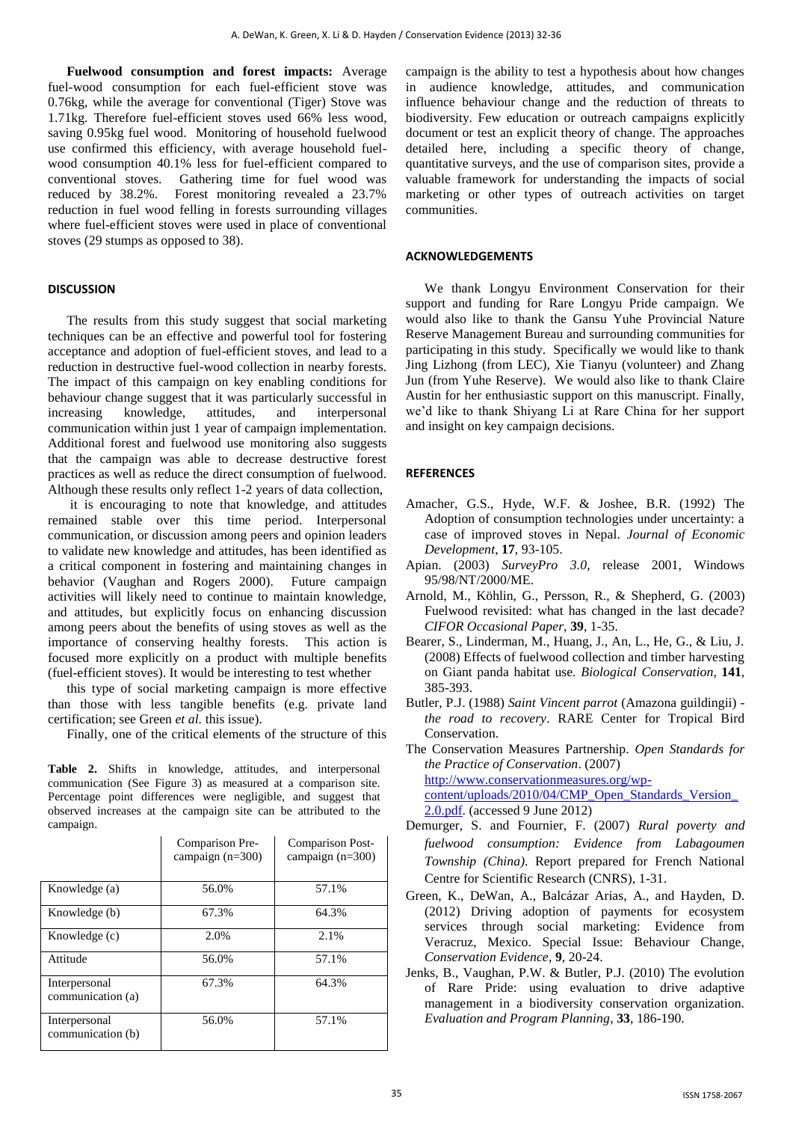**Fuelwood consumption and forest impacts:** Average fuel-wood consumption for each fuel-efficient stove was 0.76kg, while the average for conventional (Tiger) Stove was 1.71kg. Therefore fuel-efficient stoves used 66% less wood, saving 0.95kg fuel wood. Monitoring of household fuelwood use confirmed this efficiency, with average household fuelwood consumption 40.1% less for fuel-efficient compared to conventional stoves. Gathering time for fuel wood was reduced by 38.2%. Forest monitoring revealed a 23.7% reduction in fuel wood felling in forests surrounding villages where fuel-efficient stoves were used in place of conventional stoves (29 stumps as opposed to 38).

#### **DISCUSSION**

The results from this study suggest that social marketing techniques can be an effective and powerful tool for fostering acceptance and adoption of fuel-efficient stoves, and lead to a reduction in destructive fuel-wood collection in nearby forests. The impact of this campaign on key enabling conditions for behaviour change suggest that it was particularly successful in increasing knowledge, attitudes, and interpersonal communication within just 1 year of campaign implementation. Additional forest and fuelwood use monitoring also suggests that the campaign was able to decrease destructive forest practices as well as reduce the direct consumption of fuelwood. Although these results only reflect 1-2 years of data collection,

it is encouraging to note that knowledge, and attitudes remained stable over this time period. Interpersonal communication, or discussion among peers and opinion leaders to validate new knowledge and attitudes, has been identified as a critical component in fostering and maintaining changes in behavior (Vaughan and Rogers 2000). Future campaign activities will likely need to continue to maintain knowledge, and attitudes, but explicitly focus on enhancing discussion among peers about the benefits of using stoves as well as the importance of conserving healthy forests. This action is focused more explicitly on a product with multiple benefits (fuel-efficient stoves). It would be interesting to test whether

this type of social marketing campaign is more effective than those with less tangible benefits (e.g. private land certification; see Green *et al.* this issue).

Finally, one of the critical elements of the structure of this

**Table 2.** Shifts in knowledge, attitudes, and interpersonal communication (See Figure 3) as measured at a comparison site. Percentage point differences were negligible, and suggest that observed increases at the campaign site can be attributed to the campaign.

|                                    | Comparison Pre-<br>campaign $(n=300)$ | Comparison Post-<br>campaign $(n=300)$ |
|------------------------------------|---------------------------------------|----------------------------------------|
| Knowledge (a)                      | 56.0%                                 | 57.1%                                  |
| Knowledge (b)                      | 67.3%                                 | 64.3%                                  |
| Knowledge (c)                      | 2.0%                                  | 2.1%                                   |
| Attitude                           | 56.0%                                 | 57.1%                                  |
| Interpersonal<br>communication (a) | 67.3%                                 | 64.3%                                  |
| Interpersonal<br>communication (b) | 56.0%                                 | 57.1%                                  |

campaign is the ability to test a hypothesis about how changes in audience knowledge, attitudes, and communication influence behaviour change and the reduction of threats to biodiversity. Few education or outreach campaigns explicitly document or test an explicit theory of change. The approaches detailed here, including a specific theory of change, quantitative surveys, and the use of comparison sites, provide a valuable framework for understanding the impacts of social marketing or other types of outreach activities on target communities.

#### **ACKNOWLEDGEMENTS**

We thank Longyu Environment Conservation for their support and funding for Rare Longyu Pride campaign. We would also like to thank the Gansu Yuhe Provincial Nature Reserve Management Bureau and surrounding communities for participating in this study. Specifically we would like to thank Jing Lizhong (from LEC), Xie Tianyu (volunteer) and Zhang Jun (from Yuhe Reserve). We would also like to thank Claire Austin for her enthusiastic support on this manuscript. Finally, we'd like to thank Shiyang Li at Rare China for her support and insight on key campaign decisions.

## **REFERENCES**

- Amacher, G.S., Hyde, W.F. & Joshee, B.R. (1992) The Adoption of consumption technologies under uncertainty: a case of improved stoves in Nepal. *Journal of Economic Development*, **17**, 93-105.
- Apian. (2003) *SurveyPro 3.0,* release 2001, Windows 95/98/NT/2000/ME.
- Arnold, M., Köhlin, G., Persson, R., & Shepherd, G. (2003) Fuelwood revisited: what has changed in the last decade? *CIFOR Occasional Paper,* **39**, 1-35.
- Bearer, S., Linderman, M., Huang, J., An, L., He, G., & Liu, J. (2008) Effects of fuelwood collection and timber harvesting on Giant panda habitat use. *Biological Conservation*, **141**, 385-393.
- Butler, P.J. (1988) *Saint Vincent parrot* (Amazona guildingii) *the road to recovery*. RARE Center for Tropical Bird Conservation.

The Conservation Measures Partnership. *Open Standards for the Practice of Conservation*. (2007) [http://www.conservationmeasures.org/wp-](http://www.conservationmeasures.org/wp-content/uploads/2010/04/CMP_Open_Standards_Version_2.0.pdf)

[content/uploads/2010/04/CMP\\_Open\\_Standards\\_Version\\_](http://www.conservationmeasures.org/wp-content/uploads/2010/04/CMP_Open_Standards_Version_2.0.pdf) [2.0.pdf.](http://www.conservationmeasures.org/wp-content/uploads/2010/04/CMP_Open_Standards_Version_2.0.pdf) (accessed 9 June 2012)

- Demurger, S. and Fournier, F. (2007) *Rural poverty and fuelwood consumption: Evidence from Labagoumen Township (China)*. Report prepared for French National Centre for Scientific Research (CNRS), 1-31.
- Green, K., DeWan, A., Balcázar Arias, A., and Hayden, D. (2012) Driving adoption of payments for ecosystem services through social marketing: Evidence from Veracruz, Mexico. Special Issue: Behaviour Change, *Conservation Evidence*, **9**, 20-24.
- Jenks, B., Vaughan, P.W. & Butler, P.J. (2010) The evolution of Rare Pride: using evaluation to drive adaptive management in a biodiversity conservation organization. *Evaluation and Program Planning*, **33**, 186-190.